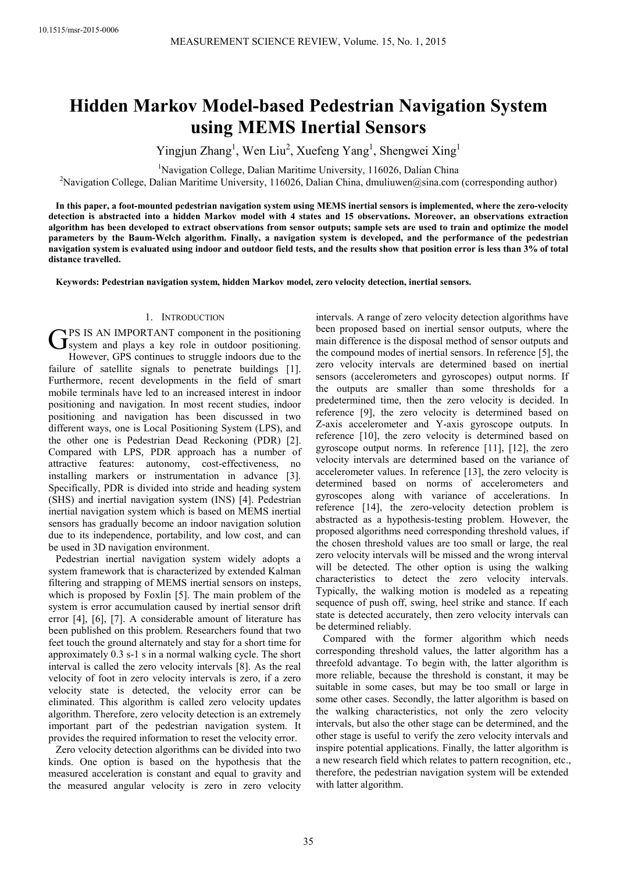# **Hidden Markov Model-based Pedestrian Navigation System using MEMS Inertial Sensors**

Yingjun Zhang<sup>1</sup>, Wen Liu<sup>2</sup>, Xuefeng Yang<sup>1</sup>, Shengwei Xing<sup>1</sup>

<sup>1</sup>Navigation College, Dalian Maritime University, 116026, Dalian China

<sup>2</sup>Navigation College, Dalian Maritime University, 116026, Dalian China, dmuliuwen@sina.com (corresponding author)

**In this paper, a foot-mounted pedestrian navigation system using MEMS inertial sensors is implemented, where the zero-velocity detection is abstracted into a hidden Markov model with 4 states and 15 observations. Moreover, an observations extraction algorithm has been developed to extract observations from sensor outputs; sample sets are used to train and optimize the model parameters by the Baum-Welch algorithm. Finally, a navigation system is developed, and the performance of the pedestrian navigation system is evaluated using indoor and outdoor field tests, and the results show that position error is less than 3% of total distance travelled.** 

**Keywords: Pedestrian navigation system, hidden Markov model, zero velocity detection, inertial sensors.** 

# 1.INTRODUCTION

PS IS AN IMPORTANT component in the positioning GPS IS AN IMPORTANT component in the positioning<br>
System and plays a key role in outdoor positioning. However, GPS continues to struggle indoors due to the failure of satellite signals to penetrate buildings [1]. Furthermore, recent developments in the field of smart mobile terminals have led to an increased interest in indoor positioning and navigation. In most recent studies, indoor positioning and navigation has been discussed in two different ways, one is Local Positioning System (LPS), and the other one is Pedestrian Dead Reckoning (PDR) [2]. Compared with LPS, PDR approach has a number of attractive features: autonomy, cost-effectiveness, no installing markers or instrumentation in advance [3]. Specifically, PDR is divided into stride and heading system (SHS) and inertial navigation system (INS) [4]. Pedestrian inertial navigation system which is based on MEMS inertial sensors has gradually become an indoor navigation solution due to its independence, portability, and low cost, and can be used in 3D navigation environment.

Pedestrian inertial navigation system widely adopts a system framework that is characterized by extended Kalman filtering and strapping of MEMS inertial sensors on insteps, which is proposed by Foxlin [5]. The main problem of the system is error accumulation caused by inertial sensor drift error [4], [6], [7]. A considerable amount of literature has been published on this problem. Researchers found that two feet touch the ground alternately and stay for a short time for approximately 0.3 s-1 s in a normal walking cycle. The short interval is called the zero velocity intervals [8]. As the real velocity of foot in zero velocity intervals is zero, if a zero velocity state is detected, the velocity error can be eliminated. This algorithm is called zero velocity updates algorithm. Therefore, zero velocity detection is an extremely important part of the pedestrian navigation system. It provides the required information to reset the velocity error.

Zero velocity detection algorithms can be divided into two kinds. One option is based on the hypothesis that the measured acceleration is constant and equal to gravity and the measured angular velocity is zero in zero velocity intervals. A range of zero velocity detection algorithms have been proposed based on inertial sensor outputs, where the main difference is the disposal method of sensor outputs and the compound modes of inertial sensors. In reference [5], the zero velocity intervals are determined based on inertial sensors (accelerometers and gyroscopes) output norms. If the outputs are smaller than some thresholds for a predetermined time, then the zero velocity is decided. In reference [9], the zero velocity is determined based on Z-axis accelerometer and Y-axis gyroscope outputs. In reference [10], the zero velocity is determined based on gyroscope output norms. In reference [11], [12], the zero velocity intervals are determined based on the variance of accelerometer values. In reference [13], the zero velocity is determined based on norms of accelerometers and gyroscopes along with variance of accelerations. In reference [14], the zero-velocity detection problem is abstracted as a hypothesis-testing problem. However, the proposed algorithms need corresponding threshold values, if the chosen threshold values are too small or large, the real zero velocity intervals will be missed and the wrong interval will be detected. The other option is using the walking characteristics to detect the zero velocity intervals. Typically, the walking motion is modeled as a repeating sequence of push off, swing, heel strike and stance. If each state is detected accurately, then zero velocity intervals can be determined reliably.

Compared with the former algorithm which needs corresponding threshold values, the latter algorithm has a threefold advantage. To begin with, the latter algorithm is more reliable, because the threshold is constant, it may be suitable in some cases, but may be too small or large in some other cases. Secondly, the latter algorithm is based on the walking characteristics, not only the zero velocity intervals, but also the other stage can be determined, and the other stage is useful to verify the zero velocity intervals and inspire potential applications. Finally, the latter algorithm is a new research field which relates to pattern recognition, etc., therefore, the pedestrian navigation system will be extended with latter algorithm.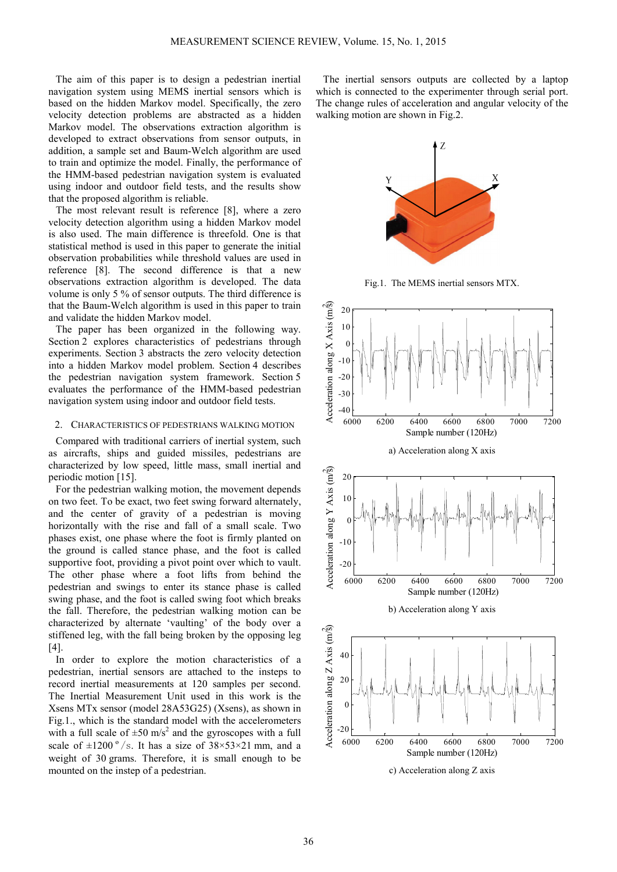The aim of this paper is to design a pedestrian inertial navigation system using MEMS inertial sensors which is based on the hidden Markov model. Specifically, the zero velocity detection problems are abstracted as a hidden Markov model. The observations extraction algorithm is developed to extract observations from sensor outputs, in addition, a sample set and Baum-Welch algorithm are used to train and optimize the model. Finally, the performance of the HMM-based pedestrian navigation system is evaluated using indoor and outdoor field tests, and the results show that the proposed algorithm is reliable.

The most relevant result is reference [8], where a zero velocity detection algorithm using a hidden Markov model is also used. The main difference is threefold. One is that statistical method is used in this paper to generate the initial observation probabilities while threshold values are used in reference [8]. The second difference is that a new observations extraction algorithm is developed. The data volume is only 5 % of sensor outputs. The third difference is that the Baum-Welch algorithm is used in this paper to train and validate the hidden Markov model.

The paper has been organized in the following way. Section 2 explores characteristics of pedestrians through experiments. Section 3 abstracts the zero velocity detection into a hidden Markov model problem. Section 4 describes the pedestrian navigation system framework. Section 5 evaluates the performance of the HMM-based pedestrian navigation system using indoor and outdoor field tests.

# 2.CHARACTERISTICS OF PEDESTRIANS WALKING MOTION

Compared with traditional carriers of inertial system, such as aircrafts, ships and guided missiles, pedestrians are characterized by low speed, little mass, small inertial and periodic motion [15].

For the pedestrian walking motion, the movement depends on two feet. To be exact, two feet swing forward alternately, and the center of gravity of a pedestrian is moving horizontally with the rise and fall of a small scale. Two phases exist, one phase where the foot is firmly planted on the ground is called stance phase, and the foot is called supportive foot, providing a pivot point over which to vault. The other phase where a foot lifts from behind the pedestrian and swings to enter its stance phase is called swing phase, and the foot is called swing foot which breaks the fall. Therefore, the pedestrian walking motion can be characterized by alternate 'vaulting' of the body over a stiffened leg, with the fall being broken by the opposing leg [4].

In order to explore the motion characteristics of a pedestrian, inertial sensors are attached to the insteps to record inertial measurements at 120 samples per second. The Inertial Measurement Unit used in this work is the Xsens MTx sensor (model 28A53G25) (Xsens), as shown in Fig.1., which is the standard model with the accelerometers with a full scale of  $\pm 50$  m/s<sup>2</sup> and the gyroscopes with a full scale of  $\pm 1200^{\circ}/s$ . It has a size of  $38\times53\times21$  mm, and a weight of 30 grams. Therefore, it is small enough to be mounted on the instep of a pedestrian.

The inertial sensors outputs are collected by a laptop which is connected to the experimenter through serial port. The change rules of acceleration and angular velocity of the walking motion are shown in Fig.2.



Fig.1. The MEMS inertial sensors MTX.

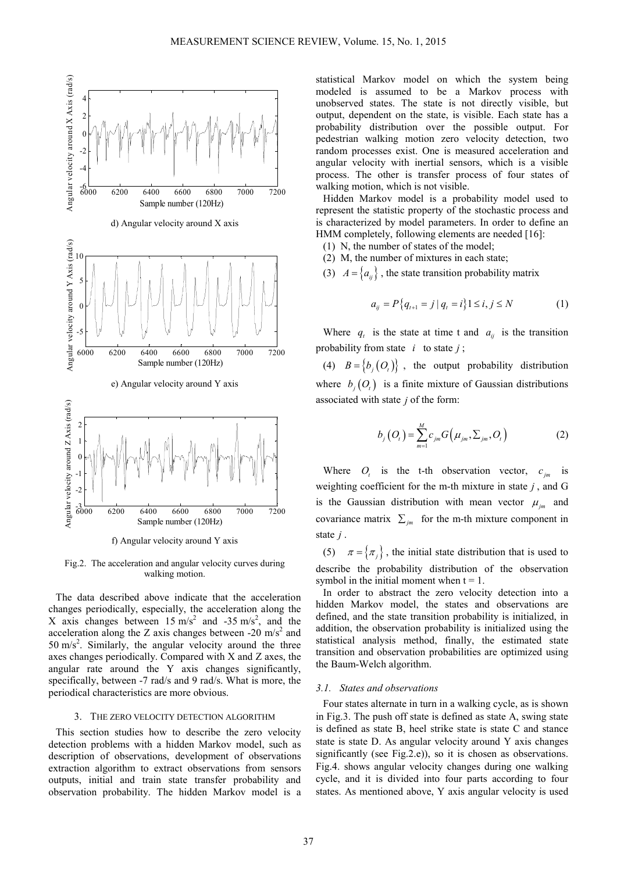

Fig.2. The acceleration and angular velocity curves during walking motion.

The data described above indicate that the acceleration changes periodically, especially, the acceleration along the X axis changes between  $15 \text{ m/s}^2$  and  $-35 \text{ m/s}^2$ , and the acceleration along the Z axis changes between -20 m/s<sup>2</sup> and  $50 \text{ m/s}^2$ . Similarly, the angular velocity around the three axes changes periodically. Compared with X and Z axes, the angular rate around the Y axis changes significantly, specifically, between -7 rad/s and 9 rad/s. What is more, the periodical characteristics are more obvious.

# 3.THE ZERO VELOCITY DETECTION ALGORITHM

This section studies how to describe the zero velocity detection problems with a hidden Markov model, such as description of observations, development of observations extraction algorithm to extract observations from sensors outputs, initial and train state transfer probability and observation probability. The hidden Markov model is a statistical Markov model on which the system being modeled is assumed to be a Markov process with unobserved states. The state is not directly visible, but output, dependent on the state, is visible. Each state has a probability distribution over the possible output. For pedestrian walking motion zero velocity detection, two random processes exist. One is measured acceleration and angular velocity with inertial sensors, which is a visible process. The other is transfer process of four states of walking motion, which is not visible.

Hidden Markov model is a probability model used to represent the statistic property of the stochastic process and is characterized by model parameters. In order to define an HMM completely, following elements are needed [16]:

(1) N, the number of states of the model;

(2) M, the number of mixtures in each state;

(3)  $A = \{a_{ij}\}\$ , the state transition probability matrix

$$
a_{ij} = P\{q_{t+1} = j \mid q_t = i\} 1 \le i, j \le N \tag{1}
$$

Where  $q_t$  is the state at time t and  $q_{ij}$  is the transition probability from state  $i$  to state  $j$ ;

(4)  $B = \{b_i(O_t)\}\$ , the output probability distribution where  $b_i$   $(O_t)$  is a finite mixture of Gaussian distributions associated with state *j* of the form:

$$
b_j (O_t) = \sum_{m=1}^{M} c_{jm} G(\mu_{jm}, \Sigma_{jm}, O_t)
$$
 (2)

Where  $O_t$  is the t-th observation vector,  $c_{jm}$  is weighting coefficient for the m-th mixture in state *j* , and G is the Gaussian distribution with mean vector  $\mu_{im}$  and covariance matrix  $\sum_{im}$  for the m-th mixture component in state *j* .

(5)  $\pi = \{\pi_i\}$ , the initial state distribution that is used to describe the probability distribution of the observation symbol in the initial moment when  $t = 1$ .

In order to abstract the zero velocity detection into a hidden Markov model, the states and observations are defined, and the state transition probability is initialized, in addition, the observation probability is initialized using the statistical analysis method, finally, the estimated state transition and observation probabilities are optimized using the Baum-Welch algorithm.

## *3.1. States and observations*

Four states alternate in turn in a walking cycle, as is shown in Fig.3. The push off state is defined as state A, swing state is defined as state B, heel strike state is state C and stance state is state D. As angular velocity around Y axis changes significantly (see Fig.2.e)), so it is chosen as observations. Fig.4. shows angular velocity changes during one walking cycle, and it is divided into four parts according to four states. As mentioned above, Y axis angular velocity is used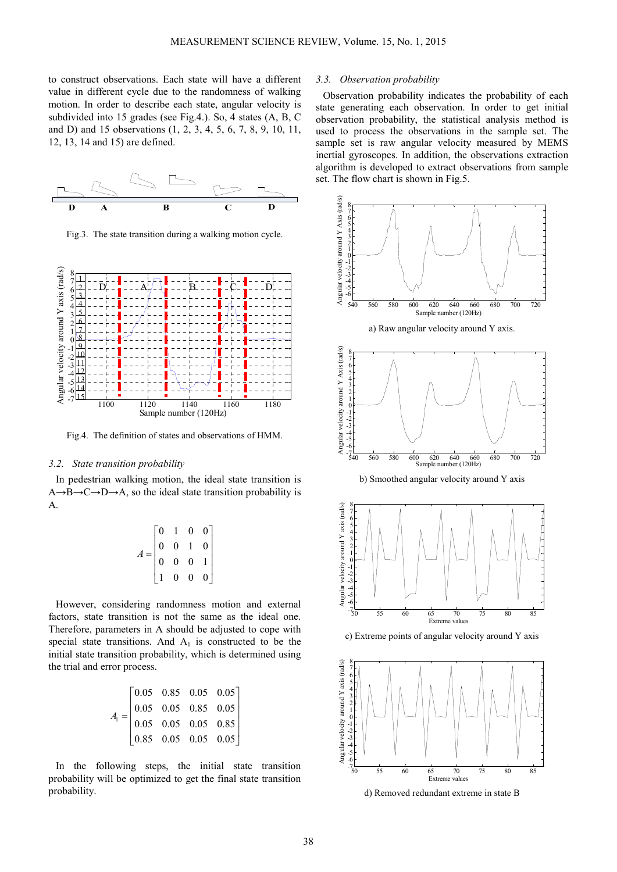to construct observations. Each state will have a different value in different cycle due to the randomness of walking motion. In order to describe each state, angular velocity is subdivided into 15 grades (see Fig.4.). So, 4 states (A, B, C and D) and 15 observations (1, 2, 3, 4, 5, 6, 7, 8, 9, 10, 11, 12, 13, 14 and 15) are defined.



Fig.3. The state transition during a walking motion cycle.



Fig.4. The definition of states and observations of HMM.

## *3.2. State transition probability*

In pedestrian walking motion, the ideal state transition is  $A \rightarrow B \rightarrow C \rightarrow D \rightarrow A$ , so the ideal state transition probability is A.

$$
A = \begin{bmatrix} 0 & 1 & 0 & 0 \\ 0 & 0 & 1 & 0 \\ 0 & 0 & 0 & 1 \\ 1 & 0 & 0 & 0 \end{bmatrix}
$$

However, considering randomness motion and external factors, state transition is not the same as the ideal one. Therefore, parameters in A should be adjusted to cope with special state transitions. And  $A_1$  is constructed to be the initial state transition probability, which is determined using the trial and error process.

|  |  | $A_1 = \begin{bmatrix} 0.05 & 0.85 & 0.05 & 0.05 \\ 0.05 & 0.05 & 0.85 & 0.05 \\ 0.05 & 0.05 & 0.05 & 0.85 \\ 0.85 & 0.05 & 0.05 & 0.05 \end{bmatrix}$ |
|--|--|--------------------------------------------------------------------------------------------------------------------------------------------------------|

In the following steps, the initial state transition probability will be optimized to get the final state transition probability.

# *3.3. Observation probability*

Observation probability indicates the probability of each state generating each observation. In order to get initial observation probability, the statistical analysis method is used to process the observations in the sample set. The sample set is raw angular velocity measured by MEMS inertial gyroscopes. In addition, the observations extraction algorithm is developed to extract observations from sample set. The flow chart is shown in Fig.5.

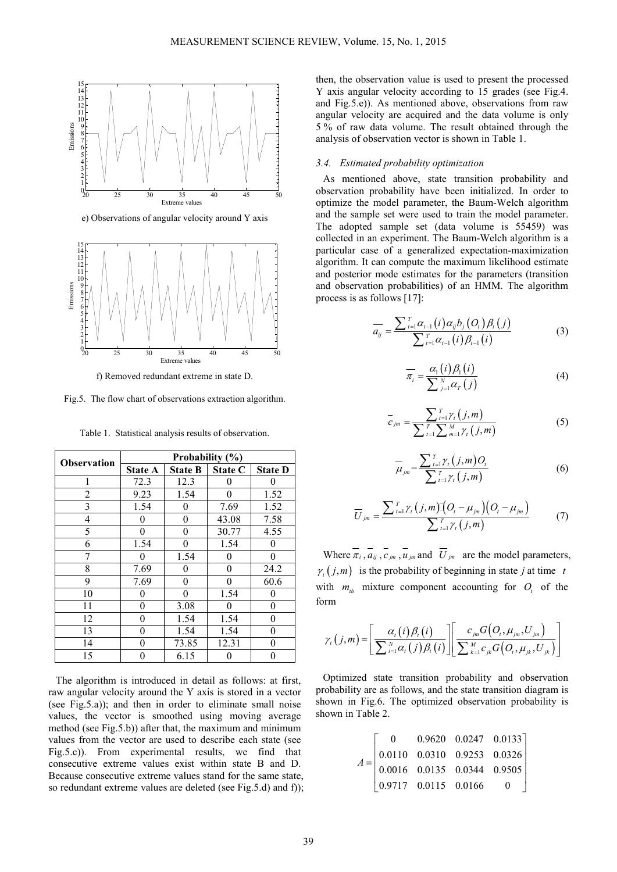

f) Removed redundant extreme in state D.

Fig.5. The flow chart of observations extraction algorithm.

Table 1. Statistical analysis results of observation.

| <b>Observation</b> |                | Probability (%) |                  |                |
|--------------------|----------------|-----------------|------------------|----------------|
|                    | <b>State A</b> | <b>State B</b>  | State C          | <b>State D</b> |
| 1                  | 72.3           | 12.3            | O                | 0              |
| $\overline{2}$     | 9.23           | 1.54            | 0                | 1.52           |
| 3                  | 1.54           | 0               | 7.69             | 1.52           |
| 4                  | 0              | 0               | 43.08            | 7.58           |
| 5                  | 0              | 0               | 30.77            | 4.55           |
| 6                  | 1.54           | 0               | 1.54             | 0              |
|                    | 0              | 1.54            | 0                | 0              |
| 8                  | 7.69           | 0               | $\boldsymbol{0}$ | 24.2           |
| 9                  | 7.69           | 0               | $\theta$         | 60.6           |
| 10                 | 0              | 0               | 1.54             | 0              |
| 11                 | 0              | 3.08            | $\theta$         | 0              |
| 12                 | 0              | 1.54            | 1.54             | 0              |
| 13                 | 0              | 1.54            | 1.54             | 0              |
| 14                 | 0              | 73.85           | 12.31            | 0              |
| 15                 | 0              | 6.15            |                  | 0              |

The algorithm is introduced in detail as follows: at first, raw angular velocity around the Y axis is stored in a vector (see Fig.5.a)); and then in order to eliminate small noise values, the vector is smoothed using moving average method (see Fig.5.b)) after that, the maximum and minimum values from the vector are used to describe each state (see Fig.5.c)). From experimental results, we find that consecutive extreme values exist within state B and D. Because consecutive extreme values stand for the same state, so redundant extreme values are deleted (see Fig.5.d) and f)); then, the observation value is used to present the processed Y axis angular velocity according to 15 grades (see Fig.4. and Fig.5.e)). As mentioned above, observations from raw angular velocity are acquired and the data volume is only 5 % of raw data volume. The result obtained through the analysis of observation vector is shown in Table 1.

## *3.4. Estimated probability optimization*

As mentioned above, state transition probability and observation probability have been initialized. In order to optimize the model parameter, the Baum-Welch algorithm and the sample set were used to train the model parameter. The adopted sample set (data volume is 55459) was collected in an experiment. The Baum-Welch algorithm is a particular case of a generalized expectation-maximization algorithm. It can compute the maximum likelihood estimate and posterior mode estimates for the parameters (transition and observation probabilities) of an HMM. The algorithm process is as follows [17]:

$$
\overline{a_{ij}} = \frac{\sum_{t=1}^{T} \alpha_{t-1}(i) \alpha_{ij} b_j (O_t) \beta_t(j)}{\sum_{t=1}^{T} \alpha_{t-1}(i) \beta_{t-1}(i)}
$$
(3)

$$
\overline{\pi_i} = \frac{\alpha_1(i)\beta_1(i)}{\sum_{j=1}^N \alpha_j(j)}\tag{4}
$$

$$
\bar{c}_{jm} = \frac{\sum_{t=1}^{T} \gamma_t(j,m)}{\sum_{t=1}^{T} \sum_{m=1}^{M} \gamma_t(j,m)}
$$
(5)

$$
\overline{\mu}_{jm} = \frac{\sum_{t=1}^{T} \gamma_t(j,m) O_t}{\sum_{t=1}^{T} \gamma_t(j,m)}
$$
(6)

$$
\overline{U}_{jm} = \frac{\sum_{t=1}^{T} \gamma_t (j,m) \left( O_t - \mu_{jm} \right) \left( O_t - \mu_{jm} \right)}{\sum_{t=1}^{T} \gamma_t (j,m)} \tag{7}
$$

Where  $\overline{\pi}_i$ ,  $\overline{\alpha}_{ij}$ ,  $\overline{c}_{jm}$ ,  $\overline{u}_{jm}$  and  $\overline{U}_{jm}$  are the model parameters,  $\gamma_t(j,m)$  is the probability of beginning in state *j* at time *t* with  $m_{th}$  mixture component accounting for  $O_t$  of the form

$$
\gamma_{t}(j,m) = \left[\frac{\alpha_{t}(i)\beta_{t}(i)}{\sum_{i=1}^{N}\alpha_{t}(j)\beta_{t}(i)}\right] \left[\frac{c_{jm}G\left(O_{t},\mu_{jm},U_{jm}\right)}{\sum_{k=1}^{M}c_{jk}G\left(O_{t},\mu_{jk},U_{jk}\right)}\right]
$$

Optimized state transition probability and observation probability are as follows, and the state transition diagram is shown in Fig.6. The optimized observation probability is shown in Table 2.

$$
A = \begin{bmatrix} 0 & 0.9620 & 0.0247 & 0.0133 \\ 0.0110 & 0.0310 & 0.9253 & 0.0326 \\ 0.0016 & 0.0135 & 0.0344 & 0.9505 \\ 0.9717 & 0.0115 & 0.0166 & 0 \end{bmatrix}
$$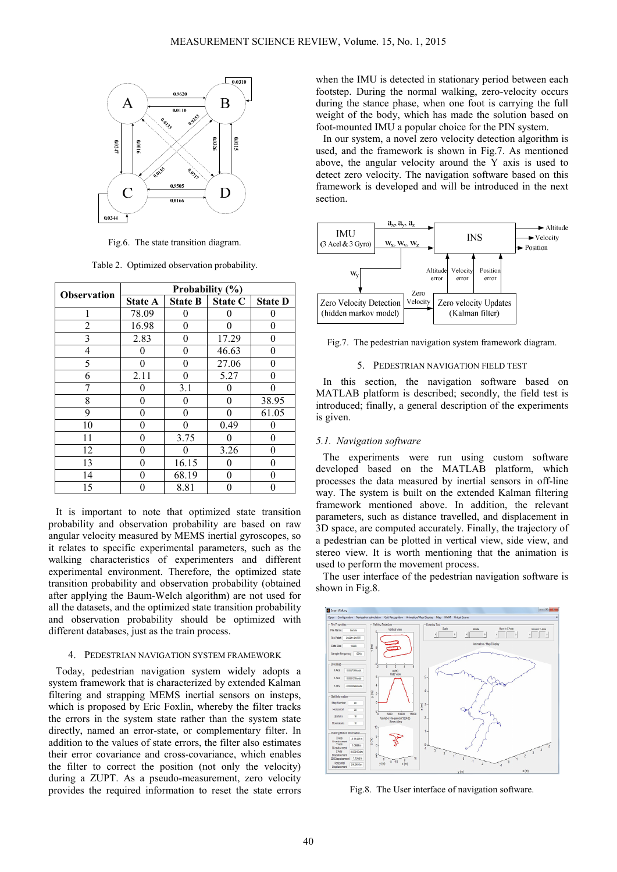

Fig.6. The state transition diagram.

Table 2. Optimized observation probability.

| <b>Observation</b> | Probability (%) |                |          |                |  |
|--------------------|-----------------|----------------|----------|----------------|--|
|                    | <b>State A</b>  | <b>State B</b> | State C  | <b>State D</b> |  |
| 1                  | 78.09           | 0              | 0        | 0              |  |
| 2                  | 16.98           | 0              | $\theta$ | 0              |  |
| 3                  | 2.83            | 0              | 17.29    | 0              |  |
| 4                  | 0               | 0              | 46.63    | 0              |  |
| 5                  | $\Omega$        | $\theta$       | 27.06    | $\theta$       |  |
| 6                  | 2.11            | 0              | 5.27     | 0              |  |
| 7                  | 0               | 3.1            | 0        | 0              |  |
| 8                  | 0               | 0              | 0        | 38.95          |  |
| 9                  | 0               | 0              | 0        | 61.05          |  |
| 10                 | $\Omega$        | $\theta$       | 0.49     | 0              |  |
| 11                 | 0               | 3.75           | $_{0}$   | 0              |  |
| 12                 | 0               | 0              | 3.26     | 0              |  |
| 13                 | 0               | 16.15          | 0        | 0              |  |
| 14                 | $_{0}$          | 68.19          | 0        | 0              |  |
| 15                 |                 | 8.81           | 0        | 0              |  |

It is important to note that optimized state transition probability and observation probability are based on raw angular velocity measured by MEMS inertial gyroscopes, so it relates to specific experimental parameters, such as the walking characteristics of experimenters and different experimental environment. Therefore, the optimized state transition probability and observation probability (obtained after applying the Baum-Welch algorithm) are not used for all the datasets, and the optimized state transition probability and observation probability should be optimized with different databases, just as the train process.

#### 4. PEDESTRIAN NAVIGATION SYSTEM FRAMEWORK

Today, pedestrian navigation system widely adopts a system framework that is characterized by extended Kalman filtering and strapping MEMS inertial sensors on insteps, which is proposed by Eric Foxlin, whereby the filter tracks the errors in the system state rather than the system state directly, named an error-state, or complementary filter. In addition to the values of state errors, the filter also estimates their error covariance and cross-covariance, which enables the filter to correct the position (not only the velocity) during a ZUPT. As a pseudo-measurement, zero velocity provides the required information to reset the state errors

when the IMU is detected in stationary period between each footstep. During the normal walking, zero-velocity occurs during the stance phase, when one foot is carrying the full weight of the body, which has made the solution based on foot-mounted IMU a popular choice for the PIN system.

In our system, a novel zero velocity detection algorithm is used, and the framework is shown in Fig.7. As mentioned above, the angular velocity around the Y axis is used to detect zero velocity. The navigation software based on this framework is developed and will be introduced in the next section.



Fig.7. The pedestrian navigation system framework diagram.

#### 5.PEDESTRIAN NAVIGATION FIELD TEST

In this section, the navigation software based on MATLAB platform is described; secondly, the field test is introduced; finally, a general description of the experiments is given.

# *5.1. Navigation software*

The experiments were run using custom software developed based on the MATLAB platform, which processes the data measured by inertial sensors in off-line way. The system is built on the extended Kalman filtering framework mentioned above. In addition, the relevant parameters, such as distance travelled, and displacement in 3D space, are computed accurately. Finally, the trajectory of a pedestrian can be plotted in vertical view, side view, and stereo view. It is worth mentioning that the animation is used to perform the movement process.

The user interface of the pedestrian navigation software is shown in Fig.8.



Fig.8. The User interface of navigation software.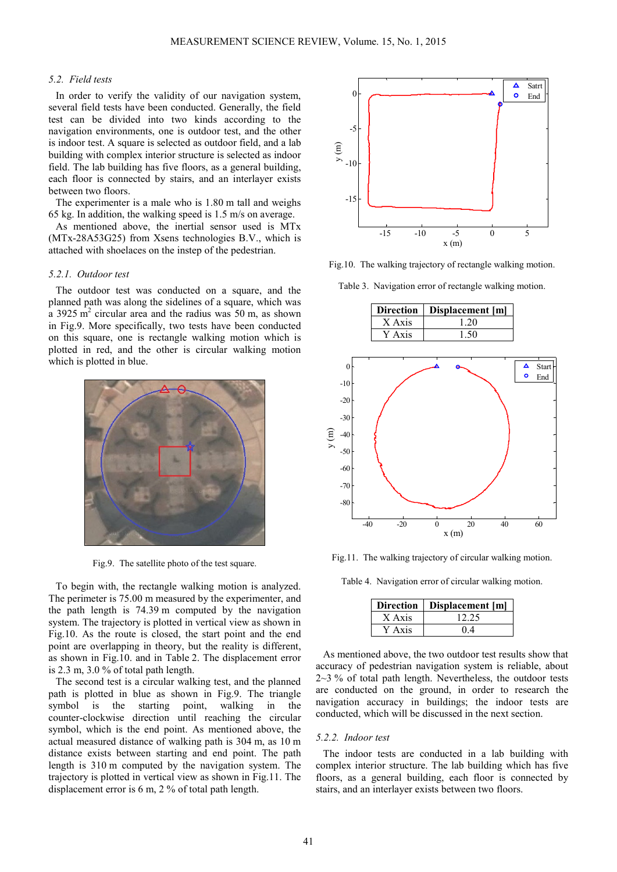# *5.2. Field tests*

In order to verify the validity of our navigation system, several field tests have been conducted. Generally, the field test can be divided into two kinds according to the navigation environments, one is outdoor test, and the other is indoor test. A square is selected as outdoor field, and a lab building with complex interior structure is selected as indoor field. The lab building has five floors, as a general building, each floor is connected by stairs, and an interlayer exists between two floors.

The experimenter is a male who is 1.80 m tall and weighs 65 kg. In addition, the walking speed is 1.5 m/s on average.

As mentioned above, the inertial sensor used is MTx (MTx-28A53G25) from Xsens technologies B.V., which is attached with shoelaces on the instep of the pedestrian.

# *5.2.1. Outdoor test*

The outdoor test was conducted on a square, and the planned path was along the sidelines of a square, which was a 3925  $\mathrm{m}^2$  circular area and the radius was 50 m, as shown in Fig.9. More specifically, two tests have been conducted on this square, one is rectangle walking motion which is plotted in red, and the other is circular walking motion which is plotted in blue.



Fig.9. The satellite photo of the test square.

To begin with, the rectangle walking motion is analyzed. The perimeter is 75.00 m measured by the experimenter, and the path length is 74.39 m computed by the navigation system. The trajectory is plotted in vertical view as shown in Fig.10. As the route is closed, the start point and the end point are overlapping in theory, but the reality is different, as shown in Fig.10. and in Table 2. The displacement error is 2.3 m, 3.0 % of total path length.

The second test is a circular walking test, and the planned path is plotted in blue as shown in Fig.9. The triangle symbol is the starting point, walking in the counter-clockwise direction until reaching the circular symbol, which is the end point. As mentioned above, the actual measured distance of walking path is 304 m, as 10 m distance exists between starting and end point. The path length is 310 m computed by the navigation system. The trajectory is plotted in vertical view as shown in Fig.11. The displacement error is 6 m, 2 % of total path length.



Fig.10. The walking trajectory of rectangle walking motion.

Table 3. Navigation error of rectangle walking motion.



Fig.11. The walking trajectory of circular walking motion.

Table 4. Navigation error of circular walking motion.

|        | Direction   Displacement [m] |
|--------|------------------------------|
| X Axis | TZ 25                        |
| Y Axis | 04                           |

As mentioned above, the two outdoor test results show that accuracy of pedestrian navigation system is reliable, about 2~3 % of total path length. Nevertheless, the outdoor tests are conducted on the ground, in order to research the navigation accuracy in buildings; the indoor tests are conducted, which will be discussed in the next section.

# *5.2.2. Indoor test*

The indoor tests are conducted in a lab building with complex interior structure. The lab building which has five floors, as a general building, each floor is connected by stairs, and an interlayer exists between two floors.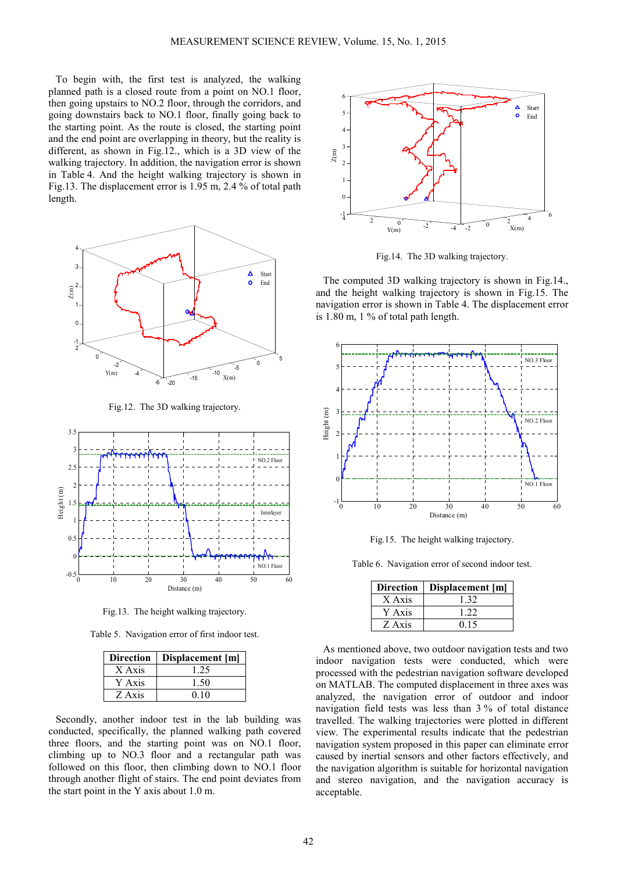To begin with, the first test is analyzed, the walking planned path is a closed route from a point on NO.1 floor, then going upstairs to NO.2 floor, through the corridors, and going downstairs back to NO.1 floor, finally going back to the starting point. As the route is closed, the starting point and the end point are overlapping in theory, but the reality is different, as shown in Fig.12., which is a 3D view of the walking trajectory. In addition, the navigation error is shown in Table 4. And the height walking trajectory is shown in Fig.13. The displacement error is 1.95 m, 2.4 % of total path length.



Fig.12. The 3D walking trajectory.



Fig.13. The height walking trajectory.

Table 5. Navigation error of first indoor test.

| Direction | Displacement [m] |
|-----------|------------------|
| X Axis    | 1 25             |
| Y Axis    | 1.50             |
| Z Axis    | 010              |

Secondly, another indoor test in the lab building was conducted, specifically, the planned walking path covered three floors, and the starting point was on NO.1 floor, climbing up to NO.3 floor and a rectangular path was followed on this floor, then climbing down to NO.1 floor through another flight of stairs. The end point deviates from the start point in the Y axis about 1.0 m.



Fig.14. The 3D walking trajectory.

The computed 3D walking trajectory is shown in Fig.14., and the height walking trajectory is shown in Fig.15. The navigation error is shown in Table 4. The displacement error is 1.80 m, 1 % of total path length.



Fig.15. The height walking trajectory.

Table 6. Navigation error of second indoor test.

| <b>Direction</b> | Displacement [m] |
|------------------|------------------|
| X Axis           | 132              |
| Y Axis           | 1.22             |
| Z Axis           | 0.15             |

As mentioned above, two outdoor navigation tests and two indoor navigation tests were conducted, which were processed with the pedestrian navigation software developed on MATLAB. The computed displacement in three axes was analyzed, the navigation error of outdoor and indoor navigation field tests was less than 3 % of total distance travelled. The walking trajectories were plotted in different view. The experimental results indicate that the pedestrian navigation system proposed in this paper can eliminate error caused by inertial sensors and other factors effectively, and the navigation algorithm is suitable for horizontal navigation and stereo navigation, and the navigation accuracy is acceptable.